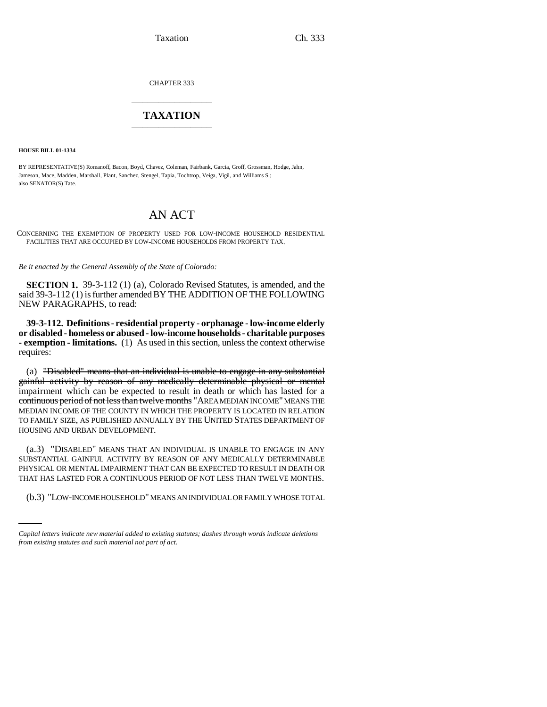Taxation Ch. 333

CHAPTER 333 \_\_\_\_\_\_\_\_\_\_\_\_\_\_\_

## **TAXATION** \_\_\_\_\_\_\_\_\_\_\_\_\_\_\_

**HOUSE BILL 01-1334**

BY REPRESENTATIVE(S) Romanoff, Bacon, Boyd, Chavez, Coleman, Fairbank, Garcia, Groff, Grossman, Hodge, Jahn, Jameson, Mace, Madden, Marshall, Plant, Sanchez, Stengel, Tapia, Tochtrop, Veiga, Vigil, and Williams S.; also SENATOR(S) Tate.

## AN ACT

CONCERNING THE EXEMPTION OF PROPERTY USED FOR LOW-INCOME HOUSEHOLD RESIDENTIAL FACILITIES THAT ARE OCCUPIED BY LOW-INCOME HOUSEHOLDS FROM PROPERTY TAX.

*Be it enacted by the General Assembly of the State of Colorado:*

**SECTION 1.** 39-3-112 (1) (a), Colorado Revised Statutes, is amended, and the said 39-3-112 (1) is further amended BY THE ADDITION OF THE FOLLOWING NEW PARAGRAPHS, to read:

**39-3-112. Definitions - residential property - orphanage - low-income elderly or disabled - homeless or abused - low-income households - charitable purposes - exemption - limitations.** (1) As used in this section, unless the context otherwise requires:

(a) "Disabled" means that an individual is unable to engage in any substantial gainful activity by reason of any medically determinable physical or mental impairment which can be expected to result in death or which has lasted for a continuous period of not less than twelve months "AREA MEDIAN INCOME" MEANS THE MEDIAN INCOME OF THE COUNTY IN WHICH THE PROPERTY IS LOCATED IN RELATION TO FAMILY SIZE, AS PUBLISHED ANNUALLY BY THE UNITED STATES DEPARTMENT OF HOUSING AND URBAN DEVELOPMENT.

THAT HAS LASTED FOR A CONTINUOUS PERIOD OF NOT LESS THAN TWELVE MONTHS. (a.3) "DISABLED" MEANS THAT AN INDIVIDUAL IS UNABLE TO ENGAGE IN ANY SUBSTANTIAL GAINFUL ACTIVITY BY REASON OF ANY MEDICALLY DETERMINABLE PHYSICAL OR MENTAL IMPAIRMENT THAT CAN BE EXPECTED TO RESULT IN DEATH OR

(b.3) "LOW-INCOME HOUSEHOLD" MEANS AN INDIVIDUAL OR FAMILY WHOSE TOTAL

*Capital letters indicate new material added to existing statutes; dashes through words indicate deletions from existing statutes and such material not part of act.*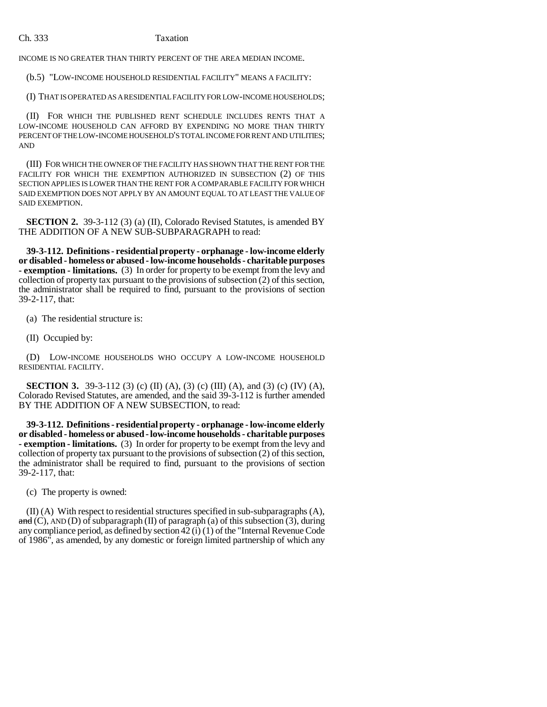## Ch. 333 Taxation

INCOME IS NO GREATER THAN THIRTY PERCENT OF THE AREA MEDIAN INCOME.

(b.5) "LOW-INCOME HOUSEHOLD RESIDENTIAL FACILITY" MEANS A FACILITY:

(I) THAT IS OPERATED AS A RESIDENTIAL FACILITY FOR LOW-INCOME HOUSEHOLDS;

(II) FOR WHICH THE PUBLISHED RENT SCHEDULE INCLUDES RENTS THAT A LOW-INCOME HOUSEHOLD CAN AFFORD BY EXPENDING NO MORE THAN THIRTY PERCENT OF THE LOW-INCOME HOUSEHOLD'S TOTAL INCOME FOR RENT AND UTILITIES; AND

(III) FOR WHICH THE OWNER OF THE FACILITY HAS SHOWN THAT THE RENT FOR THE FACILITY FOR WHICH THE EXEMPTION AUTHORIZED IN SUBSECTION (2) OF THIS SECTION APPLIES IS LOWER THAN THE RENT FOR A COMPARABLE FACILITY FOR WHICH SAID EXEMPTION DOES NOT APPLY BY AN AMOUNT EQUAL TO AT LEAST THE VALUE OF SAID EXEMPTION.

**SECTION 2.** 39-3-112 (3) (a) (II), Colorado Revised Statutes, is amended BY THE ADDITION OF A NEW SUB-SUBPARAGRAPH to read:

**39-3-112. Definitions - residential property - orphanage - low-income elderly or disabled - homeless or abused - low-income households - charitable purposes - exemption - limitations.** (3) In order for property to be exempt from the levy and collection of property tax pursuant to the provisions of subsection (2) of this section, the administrator shall be required to find, pursuant to the provisions of section 39-2-117, that:

(a) The residential structure is:

(II) Occupied by:

(D) LOW-INCOME HOUSEHOLDS WHO OCCUPY A LOW-INCOME HOUSEHOLD RESIDENTIAL FACILITY.

**SECTION 3.** 39-3-112 (3) (c) (II) (A), (3) (c) (III) (A), and (3) (c) (IV) (A), Colorado Revised Statutes, are amended, and the said 39-3-112 is further amended BY THE ADDITION OF A NEW SUBSECTION, to read:

**39-3-112. Definitions - residential property - orphanage - low-income elderly or disabled - homeless or abused - low-income households - charitable purposes - exemption - limitations.** (3) In order for property to be exempt from the levy and collection of property tax pursuant to the provisions of subsection (2) of this section, the administrator shall be required to find, pursuant to the provisions of section 39-2-117, that:

(c) The property is owned:

(II) (A) With respect to residential structures specified in sub-subparagraphs (A), and (C), AND (D) of subparagraph (II) of paragraph (a) of this subsection (3), during any compliance period, as defined by section  $42(i)(1)$  of the "Internal Revenue Code" of 1986", as amended, by any domestic or foreign limited partnership of which any